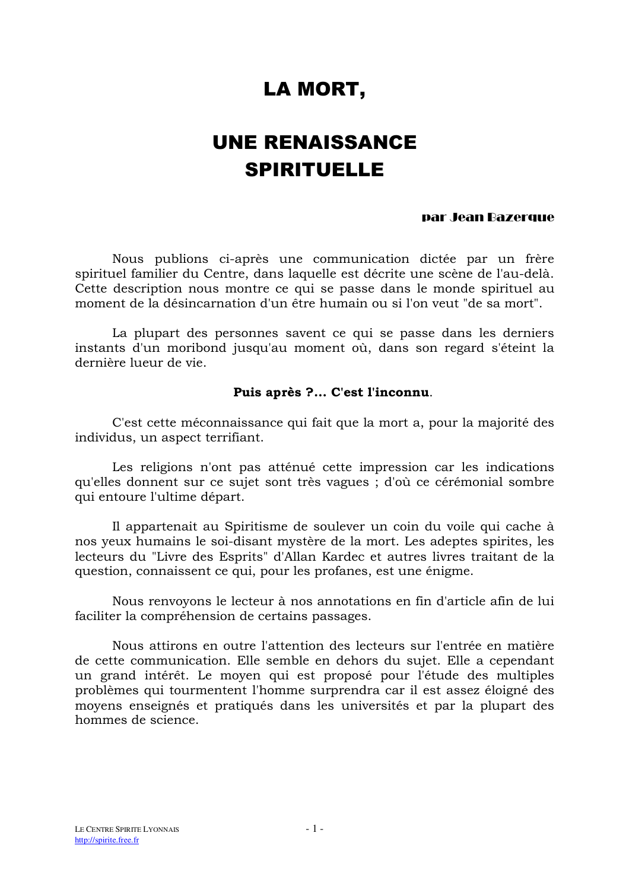# LA MORT,

# **UNE RENAISSANCE SPIRITUELLE**

#### par Jean Bazerque

Nous publions ci-après une communication dictée par un frère spirituel familier du Centre, dans laquelle est décrite une scène de l'au-delà. Cette description nous montre ce qui se passe dans le monde spirituel au moment de la désincarnation d'un être humain ou si l'on veut "de sa mort".

La plupart des personnes savent ce qui se passe dans les derniers instants d'un moribond jusqu'au moment où, dans son regard s'éteint la dernière lueur de vie

### Puis après ?... C'est l'inconnu.

C'est cette méconnaissance qui fait que la mort a, pour la majorité des individus, un aspect terrifiant.

Les religions n'ont pas atténué cette impression car les indications qu'elles donnent sur ce sujet sont très vagues ; d'où ce cérémonial sombre qui entoure l'ultime départ.

Il appartenait au Spiritisme de soulever un coin du voile qui cache à nos yeux humains le soi-disant mystère de la mort. Les adeptes spirites, les lecteurs du "Livre des Esprits" d'Allan Kardec et autres livres traitant de la question, connaissent ce qui, pour les profanes, est une énigme.

Nous renvoyons le lecteur à nos annotations en fin d'article afin de lui faciliter la compréhension de certains passages.

Nous attirons en outre l'attention des lecteurs sur l'entrée en matière de cette communication. Elle semble en dehors du sujet. Elle a cependant un grand intérêt. Le moyen qui est proposé pour l'étude des multiples problèmes qui tourmentent l'homme surprendra car il est assez éloigné des moyens enseignés et pratiqués dans les universités et par la plupart des hommes de science.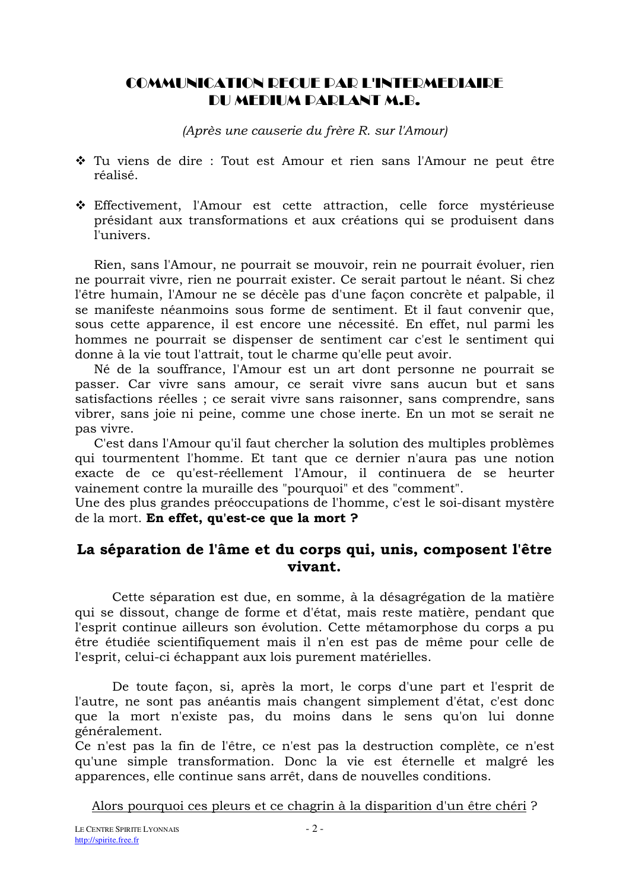# **COMMUNICATION DECUE DAD L'INTEDMEDIAIDE** DU MEDIUM PARLANT M.B.

(Après une causerie du frère R. sur l'Amour)

- ❖ Tu viens de dire : Tout est Amour et rien sans l'Amour ne peut être réalisé.
- Effectivement, l'Amour est cette attraction, celle force mystérieuse présidant aux transformations et aux créations qui se produisent dans l'univers.

Rien, sans l'Amour, ne pourrait se mouvoir, rein ne pourrait évoluer, rien ne pourrait vivre, rien ne pourrait exister. Ce serait partout le néant. Si chez l'être humain, l'Amour ne se décèle pas d'une façon concrète et palpable, il se manifeste néanmoins sous forme de sentiment. Et il faut convenir que, sous cette apparence, il est encore une nécessité. En effet, nul parmi les hommes ne pourrait se dispenser de sentiment car c'est le sentiment qui donne à la vie tout l'attrait, tout le charme qu'elle peut avoir.

Né de la souffrance, l'Amour est un art dont personne ne pourrait se passer. Car vivre sans amour, ce serait vivre sans aucun but et sans satisfactions réelles ; ce serait vivre sans raisonner, sans comprendre, sans vibrer, sans joie ni peine, comme une chose inerte. En un mot se serait ne pas vivre.

C'est dans l'Amour qu'il faut chercher la solution des multiples problèmes qui tourmentent l'homme. Et tant que ce dernier n'aura pas une notion exacte de ce qu'est-réellement l'Amour, il continuera de se heurter vainement contre la muraille des "pourquoi" et des "comment".

Une des plus grandes préoccupations de l'homme, c'est le soi-disant mystère de la mort. En effet, qu'est-ce que la mort ?

## La séparation de l'âme et du corps qui, unis, composent l'être vivant.

Cette séparation est due, en somme, à la désagrégation de la matière qui se dissout, change de forme et d'état, mais reste matière, pendant que l'esprit continue ailleurs son évolution. Cette métamorphose du corps a pu être étudiée scientifiquement mais il n'en est pas de même pour celle de l'esprit, celui-ci échappant aux lois purement matérielles.

De toute façon, si, après la mort, le corps d'une part et l'esprit de l'autre, ne sont pas anéantis mais changent simplement d'état, c'est donc que la mort n'existe pas, du moins dans le sens qu'on lui donne généralement.

Ce n'est pas la fin de l'être, ce n'est pas la destruction complète, ce n'est qu'une simple transformation. Donc la vie est éternelle et malgré les apparences, elle continue sans arrêt, dans de nouvelles conditions.

Alors pourquoi ces pleurs et ce chagrin à la disparition d'un être chéri?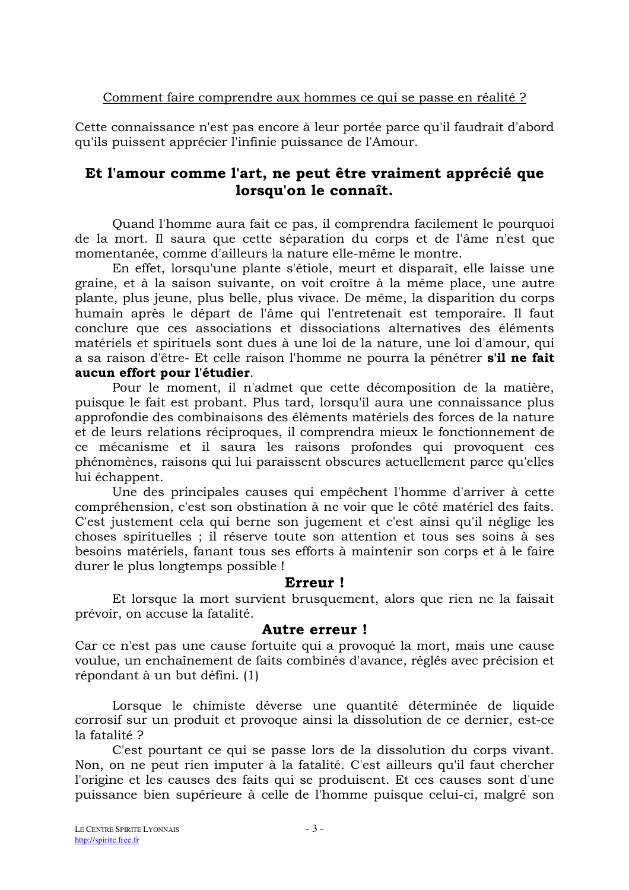Cette connaissance n'est pas encore à leur portée parce qu'il faudrait d'abord qu'ils puissent apprécier l'infinie puissance de l'Amour.

# Et l'amour comme l'art, ne peut être vraiment apprécié que lorsqu'on le connaît.

Quand l'homme aura fait ce pas, il comprendra facilement le pourquoi de la mort. Il saura que cette séparation du corps et de l'âme n'est que momentanée, comme d'ailleurs la nature elle-même le montre.

En effet, lorsqu'une plante s'étiole, meurt et disparaît, elle laisse une graine, et à la saison suivante, on voit croître à la même place, une autre plante, plus jeune, plus belle, plus vivace. De même, la disparition du corps humain après le départ de l'âme qui l'entretenait est temporaire. Il faut conclure que ces associations et dissociations alternatives des éléments matériels et spirituels sont dues à une loi de la nature, une loi d'amour, qui a sa raison d'être- Et celle raison l'homme ne pourra la pénétrer s'il ne fait aucun effort pour l'étudier.

Pour le moment, il n'admet que cette décomposition de la matière, puisque le fait est probant. Plus tard, lorsqu'il aura une connaissance plus approfondie des combinaisons des éléments matériels des forces de la nature et de leurs relations réciproques, il comprendra mieux le fonctionnement de ce mécanisme et il saura les raisons profondes qui provoquent ces phénomènes, raisons qui lui paraissent obscures actuellement parce qu'elles lui échappent.

Une des principales causes qui empêchent l'homme d'arriver à cette compréhension, c'est son obstination à ne voir que le côté matériel des faits. C'est justement cela qui berne son jugement et c'est ainsi qu'il néglige les choses spirituelles ; il réserve toute son attention et tous ses soins à ses besoins matériels, fanant tous ses efforts à maintenir son corps et à le faire durer le plus longtemps possible !

## Erreur!

Et lorsque la mort survient brusquement, alors que rien ne la faisait prévoir, on accuse la fatalité.

## **Autre erreur!**

Car ce n'est pas une cause fortuite qui a provoqué la mort, mais une cause voulue, un enchaînement de faits combinés d'avance, réglés avec précision et répondant à un but défini. (1)

Lorsque le chimiste déverse une quantité déterminée de liquide corrosif sur un produit et provoque ainsi la dissolution de ce dernier, est-ce la fatalité ?

C'est pourtant ce qui se passe lors de la dissolution du corps vivant. Non, on ne peut rien imputer à la fatalité. C'est ailleurs qu'il faut chercher l'origine et les causes des faits qui se produisent. Et ces causes sont d'une puissance bien supérieure à celle de l'homme puisque celui-ci, malgré son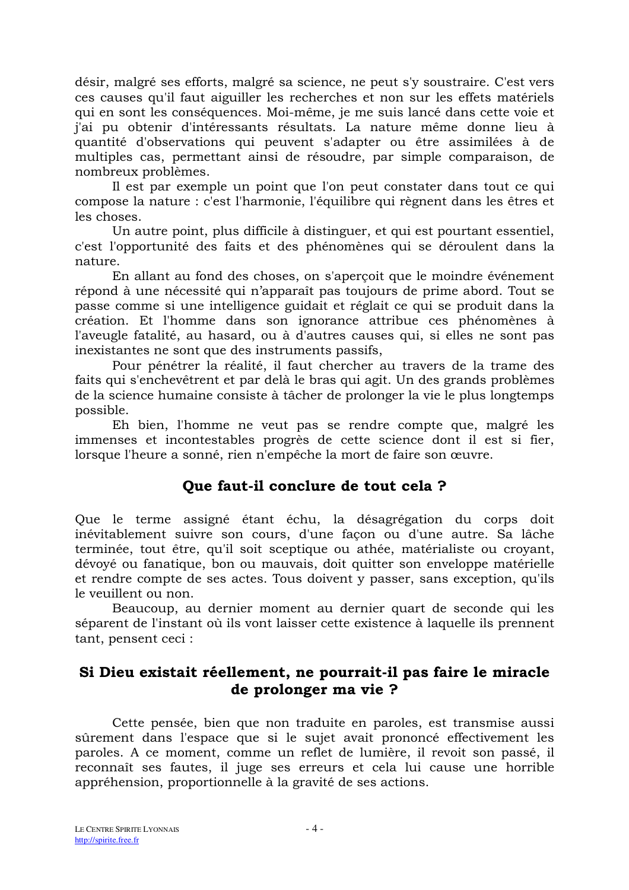désir, malgré ses efforts, malgré sa science, ne peut s'y soustraire. C'est vers ces causes qu'il faut aiguiller les recherches et non sur les effets matériels qui en sont les conséquences. Moi-même, je me suis lancé dans cette voie et j'ai pu obtenir d'intéressants résultats. La nature même donne lieu à quantité d'observations qui peuvent s'adapter ou être assimilées à de multiples cas, permettant ainsi de résoudre, par simple comparaison, de nombreux problèmes.

Il est par exemple un point que l'on peut constater dans tout ce qui compose la nature : c'est l'harmonie, l'équilibre qui règnent dans les êtres et les choses.

Un autre point, plus difficile à distinguer, et qui est pourtant essentiel, c'est l'opportunité des faits et des phénomènes qui se déroulent dans la nature.

En allant au fond des choses, on s'aperçoit que le moindre événement répond à une nécessité qui n'apparaît pas toujours de prime abord. Tout se passe comme si une intelligence guidait et réglait ce qui se produit dans la création. Et l'homme dans son ignorance attribue ces phénomènes à l'aveugle fatalité, au hasard, ou à d'autres causes qui, si elles ne sont pas inexistantes ne sont que des instruments passifs,

Pour pénétrer la réalité, il faut chercher au travers de la trame des faits qui s'enchevêtrent et par delà le bras qui agit. Un des grands problèmes de la science humaine consiste à tâcher de prolonger la vie le plus longtemps possible.

Eh bien, l'homme ne veut pas se rendre compte que, malgré les immenses et incontestables progrès de cette science dont il est si fier, lorsque l'heure a sonné, rien n'empêche la mort de faire son œuvre.

# Que faut-il conclure de tout cela ?

Que le terme assigné étant échu, la désagrégation du corps doit inévitablement suivre son cours, d'une façon ou d'une autre. Sa lâche terminée, tout être, qu'il soit sceptique ou athée, matérialiste ou croyant, dévoyé ou fanatique, bon ou mauvais, doit quitter son enveloppe matérielle et rendre compte de ses actes. Tous doivent y passer, sans exception, qu'ils le veuillent ou non.

Beaucoup, au dernier moment au dernier quart de seconde qui les séparent de l'instant où ils vont laisser cette existence à laquelle ils prennent tant, pensent ceci :

# Si Dieu existait réellement, ne pourrait-il pas faire le miracle de prolonger ma vie ?

Cette pensée, bien que non traduite en paroles, est transmise aussi sûrement dans l'espace que si le sujet avait prononcé effectivement les paroles. A ce moment, comme un reflet de lumière, il revoit son passé, il reconnaît ses fautes, il juge ses erreurs et cela lui cause une horrible appréhension, proportionnelle à la gravité de ses actions.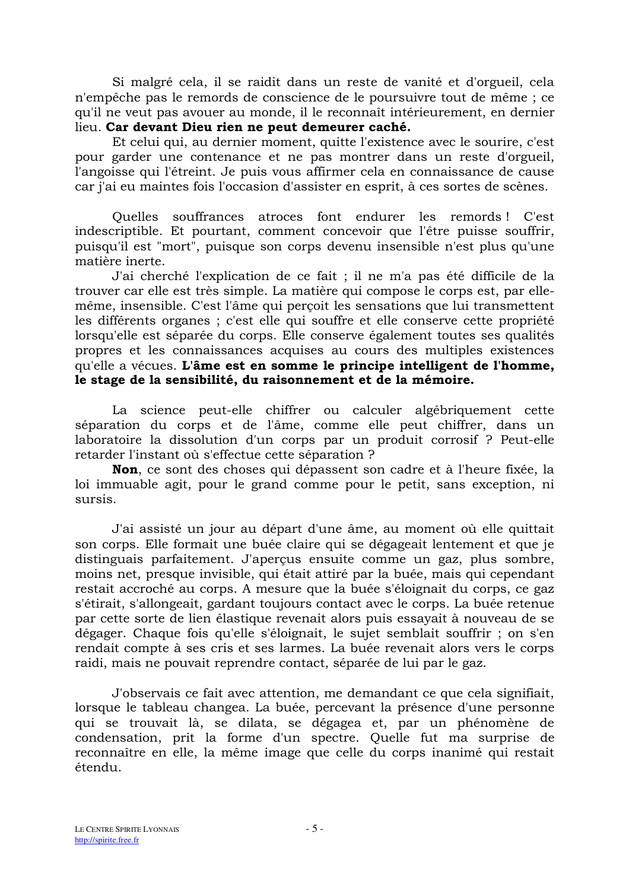Si malgré cela, il se raidit dans un reste de vanité et d'orgueil, cela n'empêche pas le remords de conscience de le poursuivre tout de même ; ce qu'il ne veut pas avouer au monde, il le reconnaît intérieurement, en dernier lieu. Car devant Dieu rien ne peut demeurer caché.

Et celui qui, au dernier moment, quitte l'existence avec le sourire, c'est pour garder une contenance et ne pas montrer dans un reste d'orgueil. l'angoisse qui l'étreint. Je puis vous affirmer cela en connaissance de cause car j'ai eu maintes fois l'occasion d'assister en esprit, à ces sortes de scènes.

Quelles souffrances atroces font endurer les remords! C'est indescriptible. Et pourtant, comment concevoir que l'être puisse souffrir, puisqu'il est "mort", puisque son corps devenu insensible n'est plus qu'une matière inerte.

J'ai cherché l'explication de ce fait ; il ne m'a pas été difficile de la trouver car elle est très simple. La matière qui compose le corps est, par ellemême, insensible. C'est l'âme qui percoit les sensations que lui transmettent les différents organes ; c'est elle qui souffre et elle conserve cette propriété lorsqu'elle est séparée du corps. Elle conserve également toutes ses qualités propres et les connaissances acquises au cours des multiples existences qu'elle a vécues. L'âme est en somme le principe intelligent de l'homme. le stage de la sensibilité, du raisonnement et de la mémoire.

La science peut-elle chiffrer ou calculer algébriquement cette séparation du corps et de l'âme, comme elle peut chiffrer, dans un laboratoire la dissolution d'un corps par un produit corrosif ? Peut-elle retarder l'instant où s'effectue cette séparation ?

Non, ce sont des choses qui dépassent son cadre et à l'heure fixée, la loi immuable agit, pour le grand comme pour le petit, sans exception, ni sursis

J'ai assisté un jour au départ d'une âme, au moment où elle quittait son corps. Elle formait une buée claire qui se dégageait lentement et que je distinguais parfaitement. J'aperçus ensuite comme un gaz, plus sombre, moins net, presque invisible, qui était attiré par la buée, mais qui cependant restait accroché au corps. A mesure que la buée s'éloignait du corps, ce gaz s'étirait, s'allongeait, gardant toujours contact avec le corps. La buée retenue par cette sorte de lien élastique revenait alors puis essayait à nouveau de se dégager. Chaque fois qu'elle s'éloignait, le sujet semblait souffrir ; on s'en rendait compte à ses cris et ses larmes. La buée revenait alors vers le corps raidi, mais ne pouvait reprendre contact, séparée de lui par le gaz.

J'observais ce fait avec attention, me demandant ce que cela signifiait, lorsque le tableau changea. La buée, percevant la présence d'une personne qui se trouvait là, se dilata, se dégagea et, par un phénomène de condensation, prit la forme d'un spectre. Quelle fut ma surprise de reconnaître en elle, la même image que celle du corps inanimé qui restait étendu.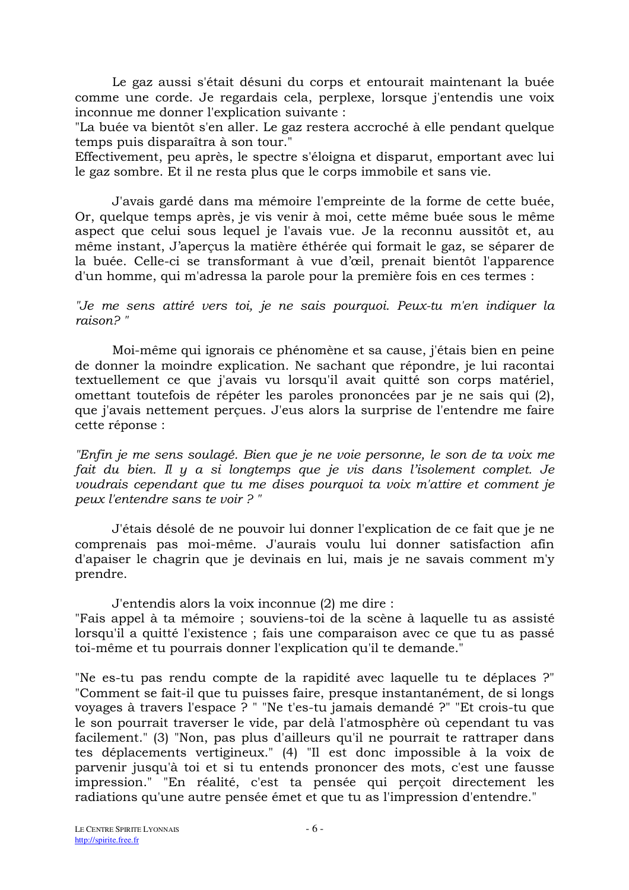Le gaz aussi s'était désuni du corps et entourait maintenant la buée comme une corde. Je regardais cela, perplexe, lorsque j'entendis une voix inconnue me donner l'explication suivante :

"La buée va bientôt s'en aller. Le gaz restera accroché à elle pendant quelque temps puis disparaîtra à son tour."

Effectivement, peu après, le spectre s'éloigna et disparut, emportant avec lui le gaz sombre. Et il ne resta plus que le corps immobile et sans vie.

J'avais gardé dans ma mémoire l'empreinte de la forme de cette buée, Or, quelque temps après, je vis venir à moi, cette même buée sous le même aspect que celui sous lequel je l'avais vue. Je la reconnu aussitôt et, au même instant, J'aperçus la matière éthérée qui formait le gaz, se séparer de la buée. Celle-ci se transformant à vue d'œil, prenait bientôt l'apparence d'un homme, qui m'adressa la parole pour la première fois en ces termes :

### "Je me sens attiré vers toi, je ne sais pourquoi. Peux-tu m'en indiquer la  $raiseon 2"$

Moi-même qui ignorais ce phénomène et sa cause, j'étais bien en peine de donner la moindre explication. Ne sachant que répondre, je lui racontai textuellement ce que j'avais vu lorsqu'il avait quitté son corps matériel, omettant toutefois de répéter les paroles prononcées par je ne sais qui (2), que j'avais nettement perçues. J'eus alors la surprise de l'entendre me faire cette réponse :

"Enfin je me sens soulagé. Bien que je ne voie personne, le son de ta voix me fait du bien. Il y a si longtemps que je vis dans l'isolement complet. Je voudrais cependant que tu me dises pourquoi ta voix m'attire et comment je peux l'entendre sans te voir ?"

J'étais désolé de ne pouvoir lui donner l'explication de ce fait que je ne comprenais pas moi-même. J'aurais voulu lui donner satisfaction afin d'apaiser le chagrin que je devinais en lui, mais je ne savais comment m'y prendre.

J'entendis alors la voix inconnue (2) me dire :

"Fais appel à ta mémoire ; souviens-toi de la scène à laquelle tu as assisté lorsqu'il a quitté l'existence ; fais une comparaison avec ce que tu as passé toi-même et tu pourrais donner l'explication qu'il te demande."

"Ne es-tu pas rendu compte de la rapidité avec laquelle tu te déplaces ?" "Comment se fait-il que tu puisses faire, presque instantanément, de si longs voyages à travers l'espace ? " "Ne t'es-tu jamais demandé ?" "Et crois-tu que le son pourrait traverser le vide, par delà l'atmosphère où cependant tu vas facilement." (3) "Non, pas plus d'ailleurs qu'il ne pourrait te rattraper dans tes déplacements vertigineux." (4) "Il est donc impossible à la voix de parvenir jusqu'à toi et si tu entends prononcer des mots, c'est une fausse impression." "En réalité, c'est ta pensée qui perçoit directement les radiations qu'une autre pensée émet et que tu as l'impression d'entendre."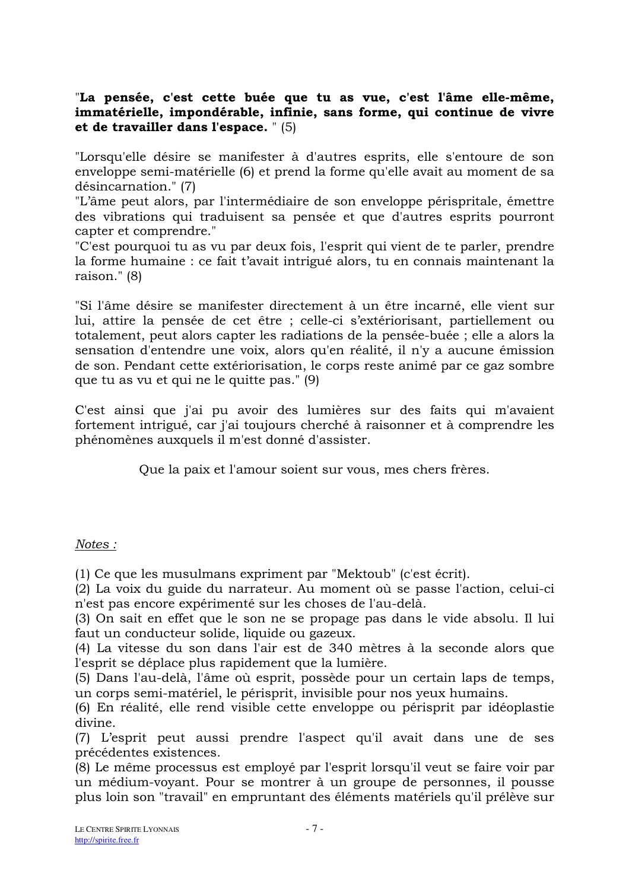## "La pensée, c'est cette buée que tu as vue, c'est l'âme elle-même, immatérielle, impondérable, infinie, sans forme, qui continue de vivre et de travailler dans l'espace. " (5)

"Lorsqu'elle désire se manifester à d'autres esprits, elle s'entoure de son enveloppe semi-matérielle (6) et prend la forme qu'elle avait au moment de sa désincarnation." (7)

"L'âme peut alors, par l'intermédiaire de son enveloppe périspritale, émettre des vibrations qui traduisent sa pensée et que d'autres esprits pourront capter et comprendre."

"C'est pourquoi tu as vu par deux fois, l'esprit qui vient de te parler, prendre la forme humaine : ce fait t'avait intrigué alors, tu en connais maintenant la raison." (8)

"Si l'âme désire se manifester directement à un être incarné, elle vient sur lui, attire la pensée de cet être ; celle-ci s'extériorisant, partiellement ou totalement, peut alors capter les radiations de la pensée-buée ; elle a alors la sensation d'entendre une voix, alors qu'en réalité, il n'y a aucune émission de son. Pendant cette extériorisation, le corps reste animé par ce gaz sombre que tu as vu et qui ne le quitte pas." (9)

C'est ainsi que j'ai pu avoir des lumières sur des faits qui m'avaient fortement intrigué, car j'ai toujours cherché à raisonner et à comprendre les phénomènes auxquels il m'est donné d'assister.

Que la paix et l'amour soient sur vous, mes chers frères.

## Notes:

(1) Ce que les musulmans expriment par "Mektoub" (c'est écrit).

(2) La voix du guide du narrateur. Au moment où se passe l'action, celui-ci n'est pas encore expérimenté sur les choses de l'au-delà.

(3) On sait en effet que le son ne se propage pas dans le vide absolu. Il lui faut un conducteur solide, liquide ou gazeux.

(4) La vitesse du son dans l'air est de 340 mètres à la seconde alors que l'esprit se déplace plus rapidement que la lumière.

(5) Dans l'au-delà, l'âme où esprit, possède pour un certain laps de temps, un corps semi-matériel, le périsprit, invisible pour nos yeux humains.

(6) En réalité, elle rend visible cette enveloppe ou périsprit par idéoplastie divine.

(7) L'esprit peut aussi prendre l'aspect qu'il avait dans une de ses précédentes existences.

(8) Le même processus est employé par l'esprit lorsqu'il veut se faire voir par un médium-vovant. Pour se montrer à un groupe de personnes, il pousse plus loin son "travail" en empruntant des éléments matériels qu'il prélève sur